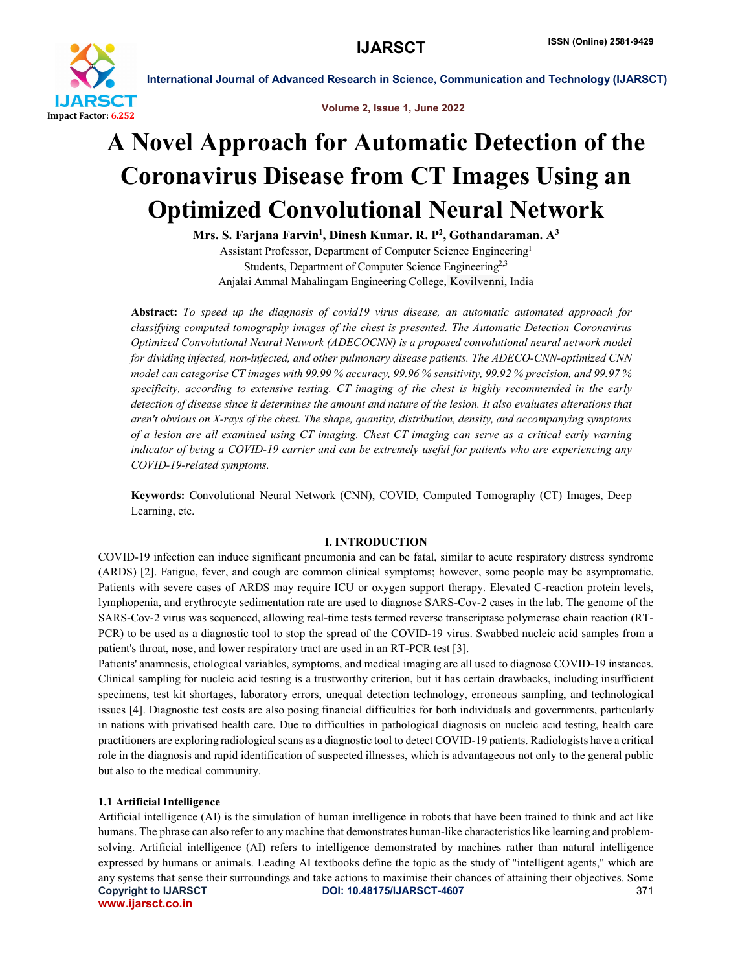

Volume 2, Issue 1, June 2022

## A Novel Approach for Automatic Detection of the Coronavirus Disease from CT Images Using an Optimized Convolutional Neural Network

Mrs. S. Farjana Farvin<sup>1</sup>, Dinesh Kumar. R. P<sup>2</sup>, Gothandaraman. A<sup>3</sup> Assistant Professor, Department of Computer Science Engineering1 Students, Department of Computer Science Engineering<sup>2,3</sup> Anjalai Ammal Mahalingam Engineering College, Kovilvenni, India

Abstract: *To speed up the diagnosis of covid19 virus disease, an automatic automated approach for classifying computed tomography images of the chest is presented. The Automatic Detection Coronavirus Optimized Convolutional Neural Network (ADECOCNN) is a proposed convolutional neural network model for dividing infected, non-infected, and other pulmonary disease patients. The ADECO-CNN-optimized CNN model can categorise CT images with 99.99 % accuracy, 99.96 % sensitivity, 99.92 % precision, and 99.97 % specificity, according to extensive testing. CT imaging of the chest is highly recommended in the early detection of disease since it determines the amount and nature of the lesion. It also evaluates alterations that aren't obvious on X-rays of the chest. The shape, quantity, distribution, density, and accompanying symptoms of a lesion are all examined using CT imaging. Chest CT imaging can serve as a critical early warning indicator of being a COVID-19 carrier and can be extremely useful for patients who are experiencing any COVID-19-related symptoms.*

Keywords: Convolutional Neural Network (CNN), COVID, Computed Tomography (CT) Images, Deep Learning, etc.

#### I. INTRODUCTION

COVID-19 infection can induce significant pneumonia and can be fatal, similar to acute respiratory distress syndrome (ARDS) [2]. Fatigue, fever, and cough are common clinical symptoms; however, some people may be asymptomatic. Patients with severe cases of ARDS may require ICU or oxygen support therapy. Elevated C-reaction protein levels, lymphopenia, and erythrocyte sedimentation rate are used to diagnose SARS-Cov-2 cases in the lab. The genome of the SARS-Cov-2 virus was sequenced, allowing real-time tests termed reverse transcriptase polymerase chain reaction (RT-PCR) to be used as a diagnostic tool to stop the spread of the COVID-19 virus. Swabbed nucleic acid samples from a patient's throat, nose, and lower respiratory tract are used in an RT-PCR test [3].

Patients' anamnesis, etiological variables, symptoms, and medical imaging are all used to diagnose COVID-19 instances. Clinical sampling for nucleic acid testing is a trustworthy criterion, but it has certain drawbacks, including insufficient specimens, test kit shortages, laboratory errors, unequal detection technology, erroneous sampling, and technological issues [4]. Diagnostic test costs are also posing financial difficulties for both individuals and governments, particularly in nations with privatised health care. Due to difficulties in pathological diagnosis on nucleic acid testing, health care practitioners are exploring radiological scans as a diagnostic tool to detect COVID-19 patients. Radiologists have a critical role in the diagnosis and rapid identification of suspected illnesses, which is advantageous not only to the general public but also to the medical community.

## 1.1 Artificial Intelligence

Copyright to IJARSCT **DOI: 10.48175/IJARSCT-4607** 371 www.ijarsct.co.in Artificial intelligence (AI) is the simulation of human intelligence in robots that have been trained to think and act like humans. The phrase can also refer to any machine that demonstrates human-like characteristics like learning and problemsolving. Artificial intelligence (AI) refers to intelligence demonstrated by machines rather than natural intelligence expressed by humans or animals. Leading AI textbooks define the topic as the study of "intelligent agents," which are any systems that sense their surroundings and take actions to maximise their chances of attaining their objectives. Some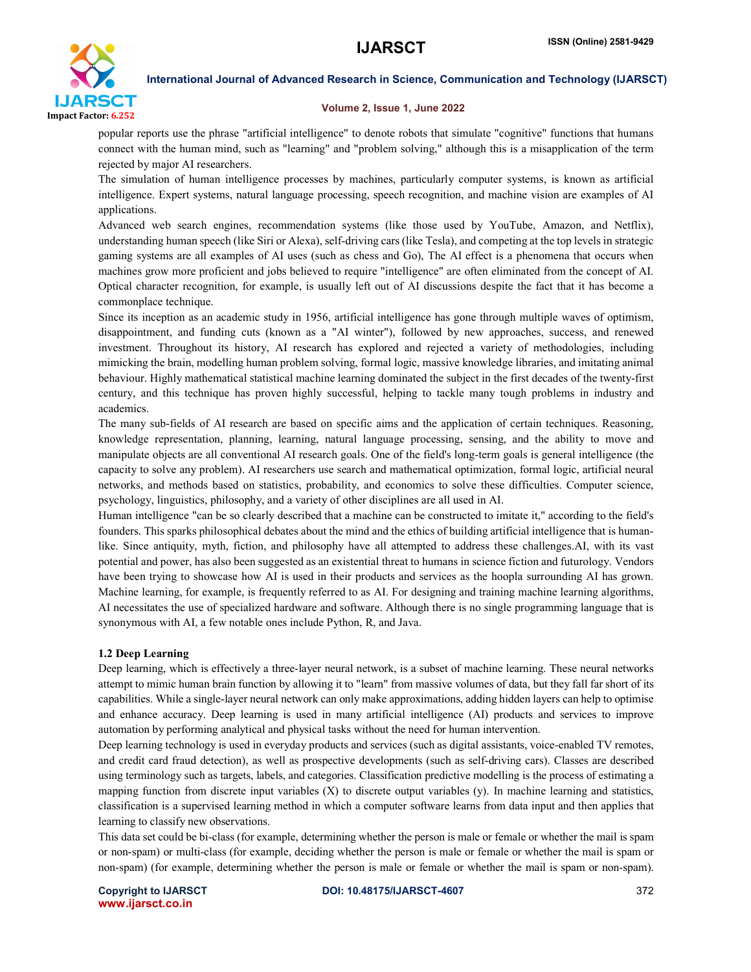

#### Volume 2, Issue 1, June 2022

popular reports use the phrase "artificial intelligence" to denote robots that simulate "cognitive" functions that humans connect with the human mind, such as "learning" and "problem solving," although this is a misapplication of the term rejected by major AI researchers.

The simulation of human intelligence processes by machines, particularly computer systems, is known as artificial intelligence. Expert systems, natural language processing, speech recognition, and machine vision are examples of AI applications.

Advanced web search engines, recommendation systems (like those used by YouTube, Amazon, and Netflix), understanding human speech (like Siri or Alexa), self-driving cars (like Tesla), and competing at the top levels in strategic gaming systems are all examples of AI uses (such as chess and Go), The AI effect is a phenomena that occurs when machines grow more proficient and jobs believed to require "intelligence" are often eliminated from the concept of AI. Optical character recognition, for example, is usually left out of AI discussions despite the fact that it has become a commonplace technique.

Since its inception as an academic study in 1956, artificial intelligence has gone through multiple waves of optimism, disappointment, and funding cuts (known as a "AI winter"), followed by new approaches, success, and renewed investment. Throughout its history, AI research has explored and rejected a variety of methodologies, including mimicking the brain, modelling human problem solving, formal logic, massive knowledge libraries, and imitating animal behaviour. Highly mathematical statistical machine learning dominated the subject in the first decades of the twenty-first century, and this technique has proven highly successful, helping to tackle many tough problems in industry and academics.

The many sub-fields of AI research are based on specific aims and the application of certain techniques. Reasoning, knowledge representation, planning, learning, natural language processing, sensing, and the ability to move and manipulate objects are all conventional AI research goals. One of the field's long-term goals is general intelligence (the capacity to solve any problem). AI researchers use search and mathematical optimization, formal logic, artificial neural networks, and methods based on statistics, probability, and economics to solve these difficulties. Computer science, psychology, linguistics, philosophy, and a variety of other disciplines are all used in AI.

Human intelligence "can be so clearly described that a machine can be constructed to imitate it," according to the field's founders. This sparks philosophical debates about the mind and the ethics of building artificial intelligence that is humanlike. Since antiquity, myth, fiction, and philosophy have all attempted to address these challenges.AI, with its vast potential and power, has also been suggested as an existential threat to humans in science fiction and futurology. Vendors have been trying to showcase how AI is used in their products and services as the hoopla surrounding AI has grown. Machine learning, for example, is frequently referred to as AI. For designing and training machine learning algorithms, AI necessitates the use of specialized hardware and software. Although there is no single programming language that is synonymous with AI, a few notable ones include Python, R, and Java.

## 1.2 Deep Learning

Deep learning, which is effectively a three-layer neural network, is a subset of machine learning. These neural networks attempt to mimic human brain function by allowing it to "learn" from massive volumes of data, but they fall far short of its capabilities. While a single-layer neural network can only make approximations, adding hidden layers can help to optimise and enhance accuracy. Deep learning is used in many artificial intelligence (AI) products and services to improve automation by performing analytical and physical tasks without the need for human intervention.

Deep learning technology is used in everyday products and services (such as digital assistants, voice-enabled TV remotes, and credit card fraud detection), as well as prospective developments (such as self-driving cars). Classes are described using terminology such as targets, labels, and categories. Classification predictive modelling is the process of estimating a mapping function from discrete input variables (X) to discrete output variables (y). In machine learning and statistics, classification is a supervised learning method in which a computer software learns from data input and then applies that learning to classify new observations.

This data set could be bi-class (for example, determining whether the person is male or female or whether the mail is spam or non-spam) or multi-class (for example, deciding whether the person is male or female or whether the mail is spam or non-spam) (for example, determining whether the person is male or female or whether the mail is spam or non-spam).

www.ijarsct.co.in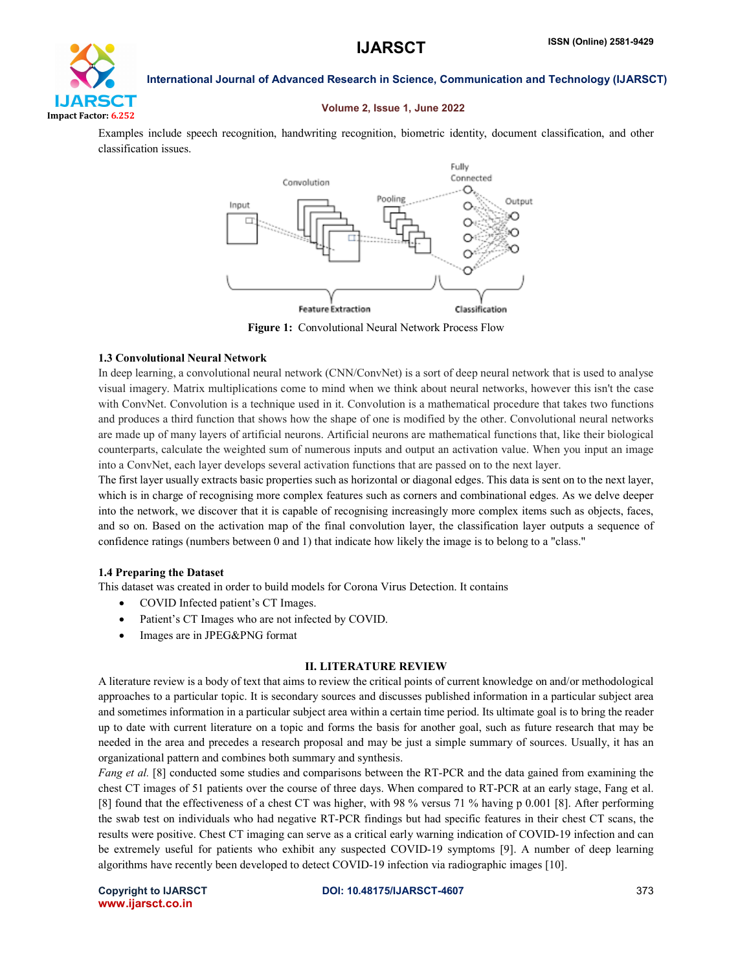

#### Volume 2, Issue 1, June 2022

Examples include speech recognition, handwriting recognition, biometric identity, document classification, and other classification issues.



Figure 1: Convolutional Neural Network Process Flow

#### 1.3 Convolutional Neural Network

In deep learning, a convolutional neural network (CNN/ConvNet) is a sort of deep neural network that is used to analyse visual imagery. Matrix multiplications come to mind when we think about neural networks, however this isn't the case with ConvNet. Convolution is a technique used in it. Convolution is a mathematical procedure that takes two functions and produces a third function that shows how the shape of one is modified by the other. Convolutional neural networks are made up of many layers of artificial neurons. Artificial neurons are mathematical functions that, like their biological counterparts, calculate the weighted sum of numerous inputs and output an activation value. When you input an image into a ConvNet, each layer develops several activation functions that are passed on to the next layer.

The first layer usually extracts basic properties such as horizontal or diagonal edges. This data is sent on to the next layer, which is in charge of recognising more complex features such as corners and combinational edges. As we delve deeper into the network, we discover that it is capable of recognising increasingly more complex items such as objects, faces, and so on. Based on the activation map of the final convolution layer, the classification layer outputs a sequence of confidence ratings (numbers between 0 and 1) that indicate how likely the image is to belong to a "class."

#### 1.4 Preparing the Dataset

This dataset was created in order to build models for Corona Virus Detection. It contains

- COVID Infected patient's CT Images.
- Patient's CT Images who are not infected by COVID.
- Images are in JPEG&PNG format

#### II. LITERATURE REVIEW

A literature review is a body of text that aims to review the critical points of current knowledge on and/or methodological approaches to a particular topic. It is secondary sources and discusses published information in a particular subject area and sometimes information in a particular subject area within a certain time period. Its ultimate goal is to bring the reader up to date with current literature on a topic and forms the basis for another goal, such as future research that may be needed in the area and precedes a research proposal and may be just a simple summary of sources. Usually, it has an organizational pattern and combines both summary and synthesis.

*Fang et al.* [8] conducted some studies and comparisons between the RT-PCR and the data gained from examining the chest CT images of 51 patients over the course of three days. When compared to RT-PCR at an early stage, Fang et al. [8] found that the effectiveness of a chest CT was higher, with 98 % versus 71 % having p 0.001 [8]. After performing the swab test on individuals who had negative RT-PCR findings but had specific features in their chest CT scans, the results were positive. Chest CT imaging can serve as a critical early warning indication of COVID-19 infection and can be extremely useful for patients who exhibit any suspected COVID-19 symptoms [9]. A number of deep learning algorithms have recently been developed to detect COVID-19 infection via radiographic images [10].

www.ijarsct.co.in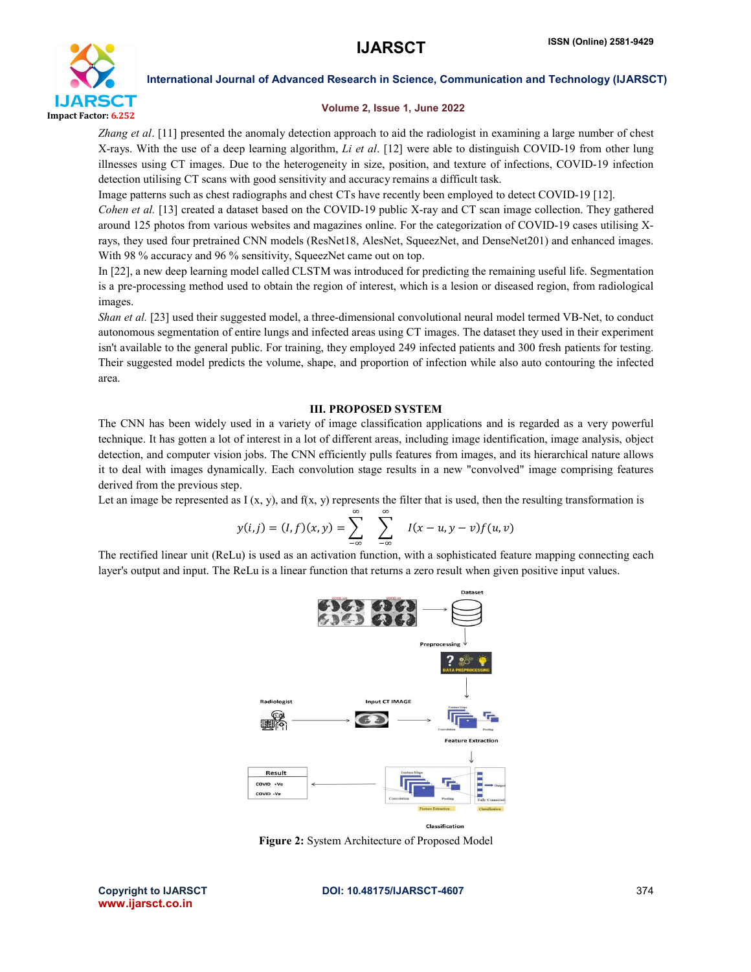

#### Volume 2, Issue 1, June 2022

*Zhang et al*. [11] presented the anomaly detection approach to aid the radiologist in examining a large number of chest X-rays. With the use of a deep learning algorithm, *Li et al*. [12] were able to distinguish COVID-19 from other lung illnesses using CT images. Due to the heterogeneity in size, position, and texture of infections, COVID-19 infection detection utilising CT scans with good sensitivity and accuracy remains a difficult task.

Image patterns such as chest radiographs and chest CTs have recently been employed to detect COVID-19 [12].

*Cohen et al.* [13] created a dataset based on the COVID-19 public X-ray and CT scan image collection. They gathered around 125 photos from various websites and magazines online. For the categorization of COVID-19 cases utilising Xrays, they used four pretrained CNN models (ResNet18, AlesNet, SqueezNet, and DenseNet201) and enhanced images. With 98 % accuracy and 96 % sensitivity, SqueezNet came out on top.

In [22], a new deep learning model called CLSTM was introduced for predicting the remaining useful life. Segmentation is a pre-processing method used to obtain the region of interest, which is a lesion or diseased region, from radiological images.

*Shan et al.* [23] used their suggested model, a three-dimensional convolutional neural model termed VB-Net, to conduct autonomous segmentation of entire lungs and infected areas using CT images. The dataset they used in their experiment isn't available to the general public. For training, they employed 249 infected patients and 300 fresh patients for testing. Their suggested model predicts the volume, shape, and proportion of infection while also auto contouring the infected area.

## III. PROPOSED SYSTEM

The CNN has been widely used in a variety of image classification applications and is regarded as a very powerful technique. It has gotten a lot of interest in a lot of different areas, including image identification, image analysis, object detection, and computer vision jobs. The CNN efficiently pulls features from images, and its hierarchical nature allows it to deal with images dynamically. Each convolution stage results in a new "convolved" image comprising features derived from the previous step.

Let an image be represented as  $I(x, y)$ , and  $f(x, y)$  represents the filter that is used, then the resulting transformation is

$$
y(i,j) = (I, f)(x, y) = \sum_{-\infty}^{\infty} \sum_{-\infty}^{\infty} I(x - u, y - v) f(u, v)
$$

The rectified linear unit (ReLu) is used as an activation function, with a sophisticated feature mapping connecting each layer's output and input. The ReLu is a linear function that returns a zero result when given positive input values.



Figure 2: System Architecture of Proposed Model

www.ijarsct.co.in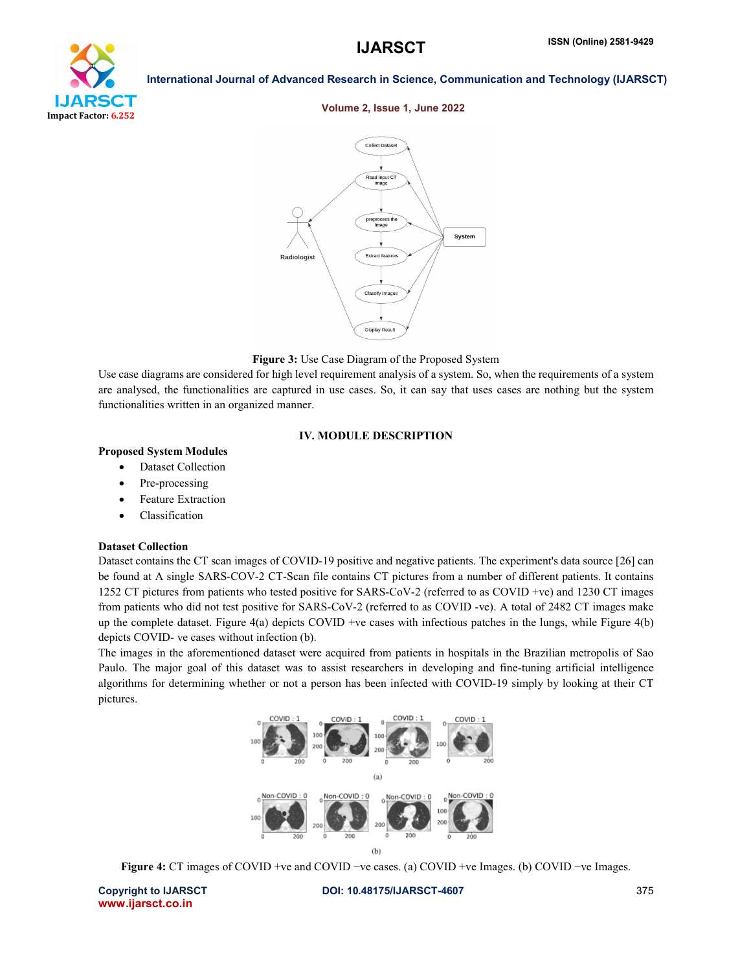# YТ Impact Factor: 6.252

International Journal of Advanced Research in Science, Communication and Technology (IJARSCT)

#### Volume 2, Issue 1, June 2022



#### Figure 3: Use Case Diagram of the Proposed System

Use case diagrams are considered for high level requirement analysis of a system. So, when the requirements of a system are analysed, the functionalities are captured in use cases. So, it can say that uses cases are nothing but the system functionalities written in an organized manner.

#### IV. MODULE DESCRIPTION

#### Proposed System Modules

- Dataset Collection
- Pre-processing
- Feature Extraction
- Classification

#### Dataset Collection

Dataset contains the CT scan images of COVID-19 positive and negative patients. The experiment's data source [26] can be found at A single SARS-COV-2 CT-Scan file contains CT pictures from a number of different patients. It contains 1252 CT pictures from patients who tested positive for SARS-CoV-2 (referred to as COVID +ve) and 1230 CT images from patients who did not test positive for SARS-CoV-2 (referred to as COVID -ve). A total of 2482 CT images make up the complete dataset. Figure  $4(a)$  depicts COVID +ve cases with infectious patches in the lungs, while Figure  $4(b)$ depicts COVID- ve cases without infection (b).

The images in the aforementioned dataset were acquired from patients in hospitals in the Brazilian metropolis of Sao Paulo. The major goal of this dataset was to assist researchers in developing and fine-tuning artificial intelligence algorithms for determining whether or not a person has been infected with COVID-19 simply by looking at their CT pictures.



Figure 4: CT images of COVID +ve and COVID −ve cases. (a) COVID +ve Images. (b) COVID −ve Images.

www.ijarsct.co.in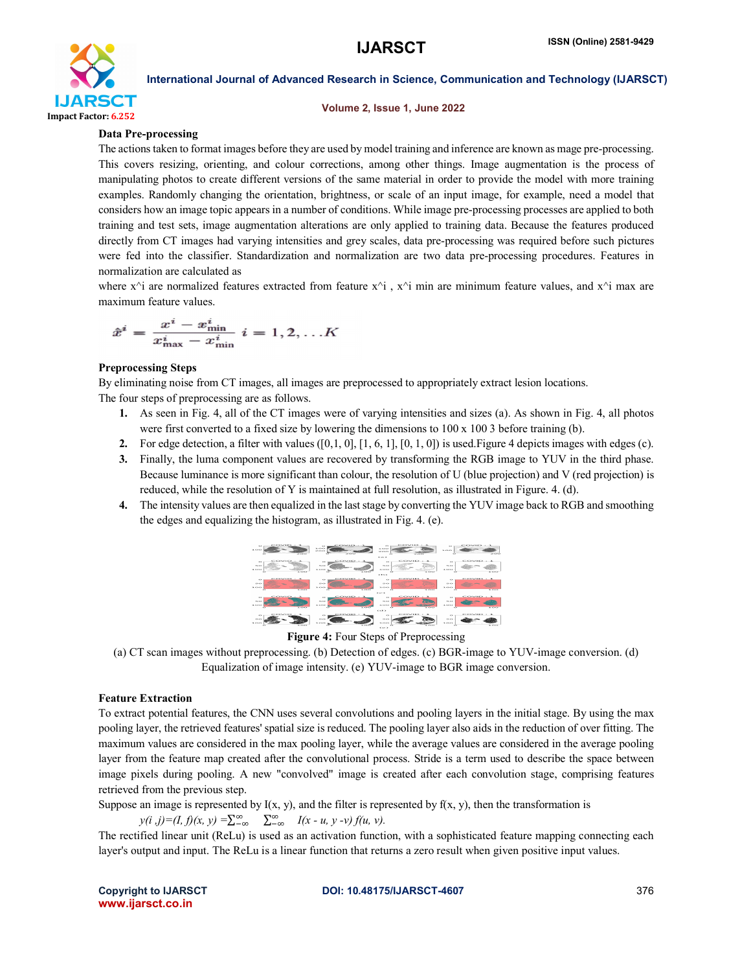

#### Volume 2, Issue 1, June 2022

#### Data Pre-processing

The actions taken to format images before they are used by model training and inference are known as mage pre-processing. This covers resizing, orienting, and colour corrections, among other things. Image augmentation is the process of manipulating photos to create different versions of the same material in order to provide the model with more training examples. Randomly changing the orientation, brightness, or scale of an input image, for example, need a model that considers how an image topic appears in a number of conditions. While image pre-processing processes are applied to both training and test sets, image augmentation alterations are only applied to training data. Because the features produced directly from CT images had varying intensities and grey scales, data pre-processing was required before such pictures were fed into the classifier. Standardization and normalization are two data pre-processing procedures. Features in normalization are calculated as

where  $x^i$  are normalized features extracted from feature  $x^i$ ,  $x^i$  min are minimum feature values, and  $x^i$  max are maximum feature values.

$$
\hat{x}^i = \frac{x^i - x^i_{\min}}{x^i_{\max} - x^i_{\min}} \ i = 1, 2, \dots K
$$

#### Preprocessing Steps

By eliminating noise from CT images, all images are preprocessed to appropriately extract lesion locations. The four steps of preprocessing are as follows.

- 1. As seen in Fig. 4, all of the CT images were of varying intensities and sizes (a). As shown in Fig. 4, all photos were first converted to a fixed size by lowering the dimensions to  $100 \times 100$  3 before training (b).
- 2. For edge detection, a filter with values  $([0,1,0], [1, 6, 1], [0, 1, 0])$  is used. Figure 4 depicts images with edges (c).
- 3. Finally, the luma component values are recovered by transforming the RGB image to YUV in the third phase. Because luminance is more significant than colour, the resolution of U (blue projection) and V (red projection) is reduced, while the resolution of Y is maintained at full resolution, as illustrated in Figure. 4. (d).
- 4. The intensity values are then equalized in the last stage by converting the YUV image back to RGB and smoothing the edges and equalizing the histogram, as illustrated in Fig. 4. (e).

| $-$<br>$\ddot{\phantom{1}}$<br><b>A. 10 MM</b><br>and when some                             | <b>All Contracts of All Anna</b><br><b>BUILD</b><br>2000                                                              | covio<br><b>CO</b><br>3.00<br><b>DOCK</b><br>$\cdots$                                                 | <b><i><u>Property</u></i></b><br><b>STR</b><br>19. 919. 919<br>2000                                          |
|---------------------------------------------------------------------------------------------|-----------------------------------------------------------------------------------------------------------------------|-------------------------------------------------------------------------------------------------------|--------------------------------------------------------------------------------------------------------------|
| <b>STATISTICS</b> IN THE<br><b>SIL</b><br><b>19.67</b><br><b>B. CARA</b><br><b>BUSINESS</b> | <b>British Miller County &amp; Millers</b><br><b>COL</b><br><b>10.4%</b><br>A 121.0<br>$\sqrt{2}$<br><b>B. Minima</b> | <b>Minimizing Section</b><br><b>ALC</b><br>50 <sup>o</sup><br>A. 1.4 K.K<br>a sires<br>$\sim$<br>cos. | <b>STORES IN THE TABLE</b><br>××<br><b>10.00</b><br><b>A. K.F.K.F.</b><br><b>ADE</b><br><b>A. K. P. M. R</b> |
| $-0.00000$<br><b>CO</b><br>20, 20,<br>3.00<br><b>AND NO</b>                                 | COVID<br><b>CO</b><br>20,000<br>3.00<br><b>SERVICE</b><br>×                                                           | COVID<br><b>Kin</b><br><b>CALLS:</b><br>100<br>2000                                                   | <b>CONTRACTOR</b><br>o<br>20,000<br>3.00<br><b>ALCOHO</b><br>×.                                              |
| covio<br><b>COL</b><br>59,500<br>3.53.00<br><b>TERRIT</b>                                   | COVID<br>$\circ$<br>ALC NOT<br>30,000<br><b>STATISTICS</b>                                                            | COD.<br>covio<br><b>CO</b><br><b>ALCO</b><br>1.777<br><b>ATOMA</b>                                    | <b>CONTRACTOR</b><br>-<br><b>SILCH</b><br><b>B-RAES</b><br><b>STORY</b><br>××                                |
| <br>58.62<br><b>B. S.F.S.</b>                                                               | <b>CONTRACTOR</b><br><b>ALC</b><br><b>10.4%</b><br><b>A 5357</b>                                                      | ca><br><b><i><u>Browner</u></i></b><br><b>ALC</b><br>50<<br><b>A. L.F. R.F.</b>                       | <b>CONTRACTOR</b><br><b>ALCOHOL:</b><br><b>COLOR</b><br><b>A. R. P. R. P.</b>                                |



(a) CT scan images without preprocessing. (b) Detection of edges. (c) BGR-image to YUV-image conversion. (d) Equalization of image intensity. (e) YUV-image to BGR image conversion.

#### Feature Extraction

To extract potential features, the CNN uses several convolutions and pooling layers in the initial stage. By using the max pooling layer, the retrieved features' spatial size is reduced. The pooling layer also aids in the reduction of over fitting. The maximum values are considered in the max pooling layer, while the average values are considered in the average pooling layer from the feature map created after the convolutional process. Stride is a term used to describe the space between image pixels during pooling. A new "convolved" image is created after each convolution stage, comprising features retrieved from the previous step.

Suppose an image is represented by  $I(x, y)$ , and the filter is represented by  $f(x, y)$ , then the transformation is

$$
y(i,j)=(I, f)(x, y) = \sum_{-\infty}^{\infty} \sum_{-\infty}^{\infty} I(x-u, y-v) f(u, v).
$$

The rectified linear unit (ReLu) is used as an activation function, with a sophisticated feature mapping connecting each layer's output and input. The ReLu is a linear function that returns a zero result when given positive input values.

www.ijarsct.co.in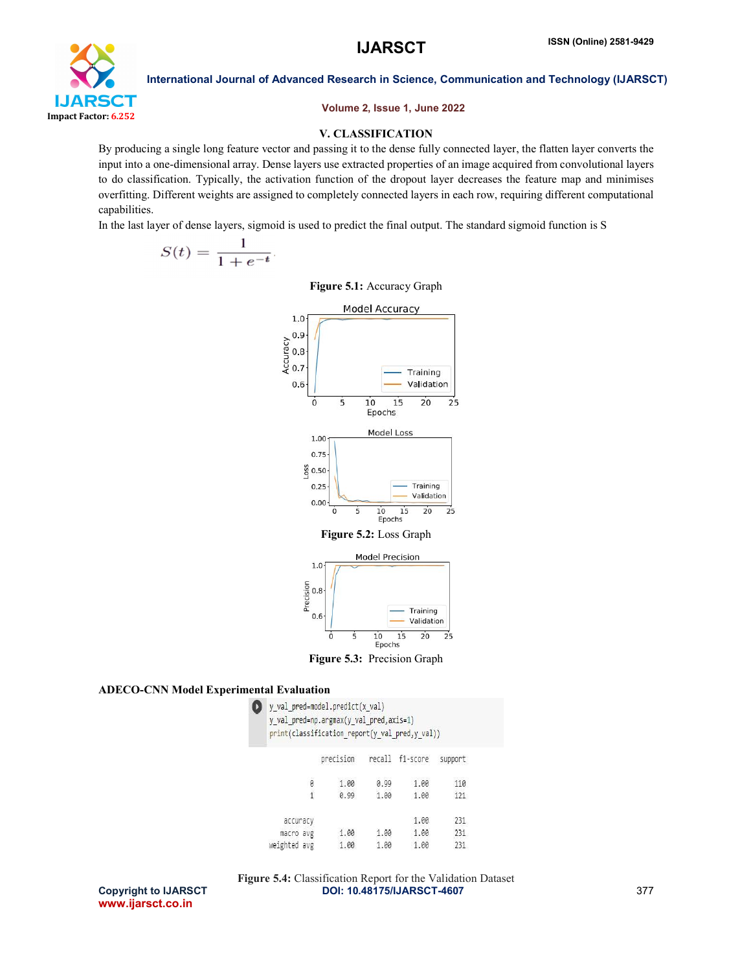

Volume 2, Issue 1, June 2022

#### V. CLASSIFICATION

By producing a single long feature vector and passing it to the dense fully connected layer, the flatten layer converts the input into a one-dimensional array. Dense layers use extracted properties of an image acquired from convolutional layers to do classification. Typically, the activation function of the dropout layer decreases the feature map and minimises overfitting. Different weights are assigned to completely connected layers in each row, requiring different computational capabilities.

In the last layer of dense layers, sigmoid is used to predict the final output. The standard sigmoid function is S

$$
S(t) = \frac{1}{1 + e^{-t}}.
$$

Figure 5.1: Accuracy Graph





 $15$ 

## ADECO-CNN Model Experimental Evaluation

Ÿ

| $\bigcirc$ y_val_pred=model.predict(x val)     |  |
|------------------------------------------------|--|
| y_val_pred=np.argmax(y_val_pred,axis=1)        |  |
| print(classification_report(y_val_pred,y_val)) |  |

O

|              |   | precision | recall | f1-score | support |
|--------------|---|-----------|--------|----------|---------|
|              | 0 | 1.00      | 0.99   | 1.00     | 110     |
|              | 4 | 0.99      | 1.00   | 1.00     | 121     |
| accuracy     |   |           |        | 1.00     | 231     |
| macro avg    |   | 1.00      | 1.00   | 1.00     | 231     |
| veighted avg |   | 1.00      | 1.00   | 1.00     | 231     |

www.ijarsct.co.in

Copyright to IJARSCT **DOI: 10.48175/IJARSCT-4607** 377 Figure 5.4: Classification Report for the Validation Dataset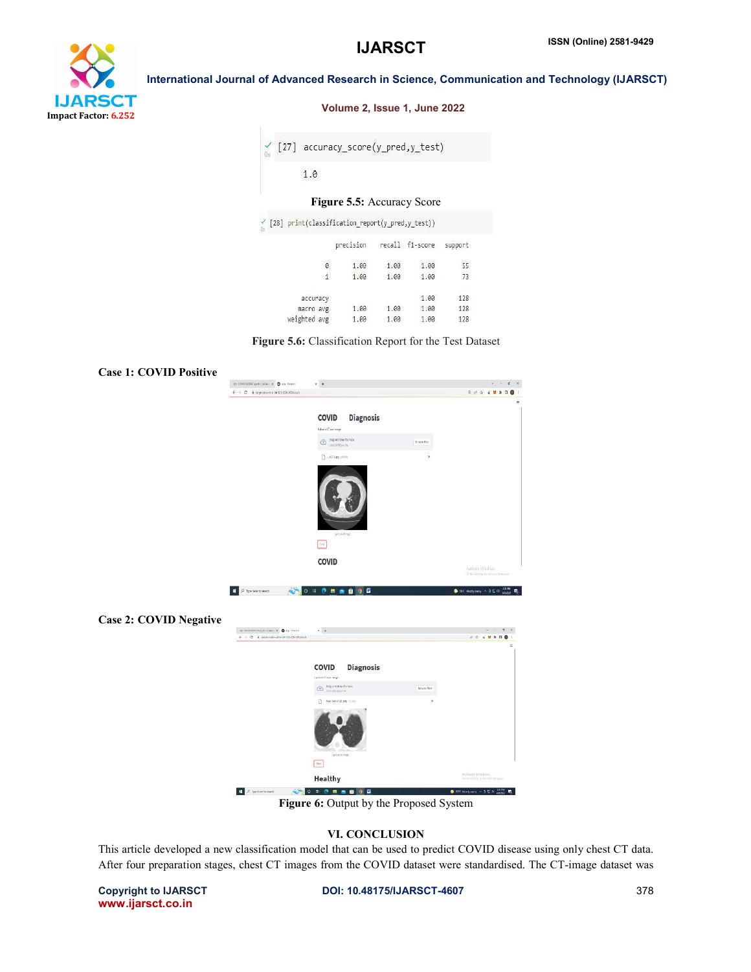

#### Volume 2, Issue 1, June 2022

|  | $\swarrow$ [27] accuracy_score(y_pred,y_test) |
|--|-----------------------------------------------|
|  |                                               |

## Figure 5.5: Accuracy Score

|              | precision |      |      | support                                                             |
|--------------|-----------|------|------|---------------------------------------------------------------------|
| 0            | 1.00      | 1.00 | 1.00 | 55                                                                  |
| 1            | 1.00      | 1.00 | 1.00 | 73                                                                  |
| accuracy     |           |      | 1.00 | 128                                                                 |
| macro avg    | 1.00      | 1.00 | 1.00 | 128                                                                 |
| weighted avg | 1.00      | 1.00 | 1.00 | 128                                                                 |
|              |           |      |      | [28] print(classification_report(y_pred,y_test))<br>recall f1-score |

Figure 5.6: Classification Report for the Test Dataset

| <b>Case 1: COVID Positive</b> |                                                                                |                                                                                                                                                                                                                                                                                                                                                                                                                                                 |                           |                                                                                                                             |
|-------------------------------|--------------------------------------------------------------------------------|-------------------------------------------------------------------------------------------------------------------------------------------------------------------------------------------------------------------------------------------------------------------------------------------------------------------------------------------------------------------------------------------------------------------------------------------------|---------------------------|-----------------------------------------------------------------------------------------------------------------------------|
|                               | co concontest ayes datas: $x - 1$ as Stearth                                   | $x +$                                                                                                                                                                                                                                                                                                                                                                                                                                           |                           | $y = -$<br>$\varepsilon$ x                                                                                                  |
|                               | $\leftarrow$ $\rightarrow$ C iii lage-pess-end-34-125-205-209 locals           |                                                                                                                                                                                                                                                                                                                                                                                                                                                 |                           | <b>Q if &amp; # * 0 0 1</b>                                                                                                 |
|                               |                                                                                |                                                                                                                                                                                                                                                                                                                                                                                                                                                 |                           | $\equiv$                                                                                                                    |
|                               |                                                                                | <b>Diagnosis</b><br>COVID                                                                                                                                                                                                                                                                                                                                                                                                                       |                           |                                                                                                                             |
|                               |                                                                                | Usbecia CT scanimage                                                                                                                                                                                                                                                                                                                                                                                                                            |                           |                                                                                                                             |
|                               |                                                                                | $\begin{tabular}{ll} \hline \textbf{0} & \textbf{0} & \textbf{0} & \textbf{0} \\ & \textbf{0} & \textbf{0} & \textbf{0} \\ & \textbf{0} & \textbf{0} & \textbf{0} \end{tabular} \begin{tabular}{ll} \textbf{0} & \textbf{0} & \textbf{0} \\ \textbf{0} & \textbf{0} & \textbf{0} & \textbf{0} \\ \textbf{0} & \textbf{0} & \textbf{0} & \textbf{0} \\ \textbf{0} & \textbf{0} & \textbf{0} & \textbf{0} \\ \textbf{0} & \textbf{0} & \textbf{0$ | Browse files              |                                                                                                                             |
|                               |                                                                                | $\Box$ pCTLpg : 91.083                                                                                                                                                                                                                                                                                                                                                                                                                          | $\boldsymbol{\mathsf{x}}$ |                                                                                                                             |
|                               |                                                                                | Uploaded Image<br>Test<br><b>COVID</b>                                                                                                                                                                                                                                                                                                                                                                                                          |                           |                                                                                                                             |
|                               |                                                                                |                                                                                                                                                                                                                                                                                                                                                                                                                                                 |                           |                                                                                                                             |
|                               |                                                                                |                                                                                                                                                                                                                                                                                                                                                                                                                                                 |                           | Activate Windows                                                                                                            |
|                               | é.<br>$\rho$ Type here to search<br>п                                          | O S O H & D O B                                                                                                                                                                                                                                                                                                                                                                                                                                 |                           | Go to Settings to activate Windows<br>ST Mathemy $\land$ $\hat{\theta} \in \text{40}$ $\frac{2517M}{64382}$ $\frac{13}{16}$ |
| <b>Case 2: COVID Negative</b> | co contraversity e-cease x @ no freeze                                         | $* +$                                                                                                                                                                                                                                                                                                                                                                                                                                           |                           | $2 \times$<br>v.                                                                                                            |
|                               | $\leftarrow$ $\rightarrow$ $\,$ C $\,$ $\,$ ii hidu-minute-MeM-125-226-2203min |                                                                                                                                                                                                                                                                                                                                                                                                                                                 |                           | 22 4 M * B .<br>$\equiv$                                                                                                    |
|                               |                                                                                | <b>COVID</b><br><b>Diagnosis</b><br>Opised ACT son wage                                                                                                                                                                                                                                                                                                                                                                                         |                           |                                                                                                                             |
|                               |                                                                                |                                                                                                                                                                                                                                                                                                                                                                                                                                                 | <b>Drowin files</b>       |                                                                                                                             |
|                               |                                                                                | $\fbox{\begin{minipage}{0.9\linewidth} \[ \begin{array}{cc} \multicolumn{3}{c}{\textbf{Diag and drop file here}}\\ \multicolumn{3}{c}{\textbf{Diag and drop file here}} \end{array} \end{minipage}}$<br>Non-Covid (2) prg (1.743)                                                                                                                                                                                                               | $\times$                  |                                                                                                                             |
|                               |                                                                                | Lipicaded Image                                                                                                                                                                                                                                                                                                                                                                                                                                 |                           |                                                                                                                             |
|                               |                                                                                | $\ensuremath{\text{Test}}$                                                                                                                                                                                                                                                                                                                                                                                                                      |                           |                                                                                                                             |
|                               |                                                                                | Healthy                                                                                                                                                                                                                                                                                                                                                                                                                                         |                           | Activate Windows<br>(so to settings to activize Wincows                                                                     |

Figure 6: Output by the Proposed System

#### VI. CONCLUSION

This article developed a new classification model that can be used to predict COVID disease using only chest CT data. After four preparation stages, chest CT images from the COVID dataset were standardised. The CT-image dataset was

www.ijarsct.co.in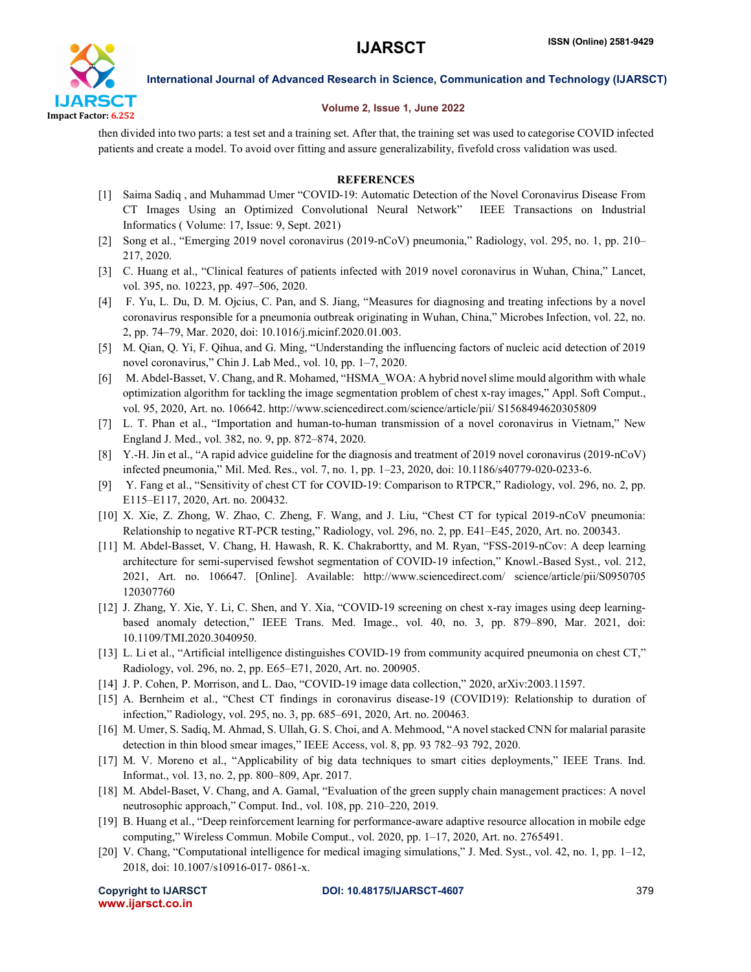

#### Volume 2, Issue 1, June 2022

then divided into two parts: a test set and a training set. After that, the training set was used to categorise COVID infected patients and create a model. To avoid over fitting and assure generalizability, fivefold cross validation was used.

#### **REFERENCES**

- [1] Saima Sadiq , and Muhammad Umer "COVID-19: Automatic Detection of the Novel Coronavirus Disease From CT Images Using an Optimized Convolutional Neural Network" IEEE Transactions on Industrial Informatics ( Volume: 17, Issue: 9, Sept. 2021)
- [2] Song et al., "Emerging 2019 novel coronavirus (2019-nCoV) pneumonia," Radiology, vol. 295, no. 1, pp. 210– 217, 2020.
- [3] C. Huang et al., "Clinical features of patients infected with 2019 novel coronavirus in Wuhan, China," Lancet, vol. 395, no. 10223, pp. 497–506, 2020.
- [4] F. Yu, L. Du, D. M. Ojcius, C. Pan, and S. Jiang, "Measures for diagnosing and treating infections by a novel coronavirus responsible for a pneumonia outbreak originating in Wuhan, China," Microbes Infection, vol. 22, no. 2, pp. 74–79, Mar. 2020, doi: 10.1016/j.micinf.2020.01.003.
- [5] M. Qian, Q. Yi, F. Qihua, and G. Ming, "Understanding the influencing factors of nucleic acid detection of 2019 novel coronavirus," Chin J. Lab Med., vol. 10, pp. 1–7, 2020.
- [6] M. Abdel-Basset, V. Chang, and R. Mohamed, "HSMA\_WOA: A hybrid novel slime mould algorithm with whale optimization algorithm for tackling the image segmentation problem of chest x-ray images," Appl. Soft Comput., vol. 95, 2020, Art. no. 106642. http://www.sciencedirect.com/science/article/pii/ S1568494620305809
- [7] L. T. Phan et al., "Importation and human-to-human transmission of a novel coronavirus in Vietnam," New England J. Med., vol. 382, no. 9, pp. 872–874, 2020.
- [8] Y.-H. Jin et al., "A rapid advice guideline for the diagnosis and treatment of 2019 novel coronavirus (2019-nCoV) infected pneumonia," Mil. Med. Res., vol. 7, no. 1, pp. 1–23, 2020, doi: 10.1186/s40779-020-0233-6.
- [9] Y. Fang et al., "Sensitivity of chest CT for COVID-19: Comparison to RTPCR," Radiology, vol. 296, no. 2, pp. E115–E117, 2020, Art. no. 200432.
- [10] X. Xie, Z. Zhong, W. Zhao, C. Zheng, F. Wang, and J. Liu, "Chest CT for typical 2019-nCoV pneumonia: Relationship to negative RT-PCR testing," Radiology, vol. 296, no. 2, pp. E41–E45, 2020, Art. no. 200343.
- [11] M. Abdel-Basset, V. Chang, H. Hawash, R. K. Chakrabortty, and M. Ryan, "FSS-2019-nCov: A deep learning architecture for semi-supervised fewshot segmentation of COVID-19 infection," Knowl.-Based Syst., vol. 212, 2021, Art. no. 106647. [Online]. Available: http://www.sciencedirect.com/ science/article/pii/S0950705 120307760
- [12] J. Zhang, Y. Xie, Y. Li, C. Shen, and Y. Xia, "COVID-19 screening on chest x-ray images using deep learningbased anomaly detection," IEEE Trans. Med. Image., vol. 40, no. 3, pp. 879–890, Mar. 2021, doi: 10.1109/TMI.2020.3040950.
- [13] L. Li et al., "Artificial intelligence distinguishes COVID-19 from community acquired pneumonia on chest CT," Radiology, vol. 296, no. 2, pp. E65–E71, 2020, Art. no. 200905.
- [14] J. P. Cohen, P. Morrison, and L. Dao, "COVID-19 image data collection," 2020, arXiv:2003.11597.
- [15] A. Bernheim et al., "Chest CT findings in coronavirus disease-19 (COVID19): Relationship to duration of infection," Radiology, vol. 295, no. 3, pp. 685–691, 2020, Art. no. 200463.
- [16] M. Umer, S. Sadiq, M. Ahmad, S. Ullah, G. S. Choi, and A. Mehmood, "A novel stacked CNN for malarial parasite detection in thin blood smear images," IEEE Access, vol. 8, pp. 93 782–93 792, 2020.
- [17] M. V. Moreno et al., "Applicability of big data techniques to smart cities deployments," IEEE Trans. Ind. Informat., vol. 13, no. 2, pp. 800–809, Apr. 2017.
- [18] M. Abdel-Baset, V. Chang, and A. Gamal, "Evaluation of the green supply chain management practices: A novel neutrosophic approach," Comput. Ind., vol. 108, pp. 210–220, 2019.
- [19] B. Huang et al., "Deep reinforcement learning for performance-aware adaptive resource allocation in mobile edge computing," Wireless Commun. Mobile Comput., vol. 2020, pp. 1–17, 2020, Art. no. 2765491.
- [20] V. Chang, "Computational intelligence for medical imaging simulations," J. Med. Syst., vol. 42, no. 1, pp. 1–12, 2018, doi: 10.1007/s10916-017- 0861-x.